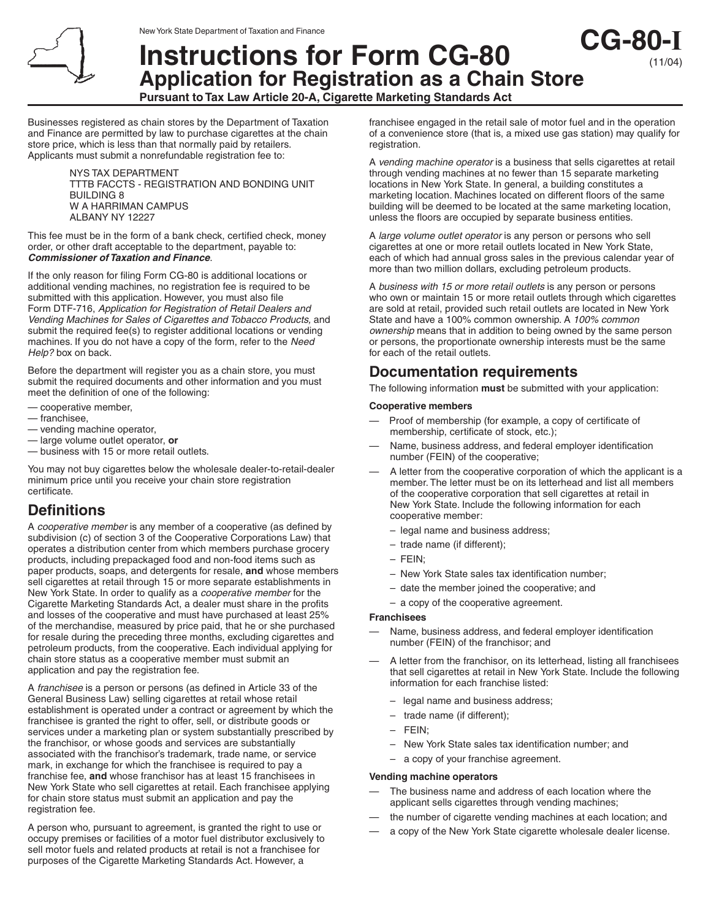# **Instructions for Form CG-80 Application for Registration as a Chain Store**

**Pursuant to Tax Law Article 20-A, Cigarette Marketing Standards Act**

Businesses registered as chain stores by the Department of Taxation and Finance are permitted by law to purchase cigarettes at the chain store price, which is less than that normally paid by retailers. Applicants must submit a nonrefundable registration fee to:

> NYS TAX DEPARTMENT TTTB FACCTS - REGISTRATION AND BONDING UNIT BUILDING 8 W A HARRIMAN CAMPUS ALBANY NY 12227

This fee must be in the form of a bank check, certified check, money order, or other draft acceptable to the department, payable to: **Commissioner of Taxation and Finance**.

If the only reason for filing Form CG-80 is additional locations or additional vending machines, no registration fee is required to be submitted with this application. However, you must also file Form DTF-716, Application for Registration of Retail Dealers and Vending Machines for Sales of Cigarettes and Tobacco Products, and submit the required fee(s) to register additional locations or vending machines. If you do not have a copy of the form, refer to the Need Help? box on back.

Before the department will register you as a chain store, you must submit the required documents and other information and you must meet the definition of one of the following:

- cooperative member,
- franchisee,
- vending machine operator,
- large volume outlet operator, **or**
- business with 15 or more retail outlets.

You may not buy cigarettes below the wholesale dealer-to-retail-dealer minimum price until you receive your chain store registration certificate.

## **Definitions**

A cooperative member is any member of a cooperative (as defined by subdivision (c) of section 3 of the Cooperative Corporations Law) that operates a distribution center from which members purchase grocery products, including prepackaged food and non-food items such as paper products, soaps, and detergents for resale, **and** whose members sell cigarettes at retail through 15 or more separate establishments in New York State. In order to qualify as a cooperative member for the Cigarette Marketing Standards Act, a dealer must share in the profits and losses of the cooperative and must have purchased at least 25% of the merchandise, measured by price paid, that he or she purchased for resale during the preceding three months, excluding cigarettes and petroleum products, from the cooperative. Each individual applying for chain store status as a cooperative member must submit an application and pay the registration fee.

A franchisee is a person or persons (as defined in Article 33 of the General Business Law) selling cigarettes at retail whose retail establishment is operated under a contract or agreement by which the franchisee is granted the right to offer, sell, or distribute goods or services under a marketing plan or system substantially prescribed by the franchisor, or whose goods and services are substantially associated with the franchisor's trademark, trade name, or service mark, in exchange for which the franchisee is required to pay a franchise fee, **and** whose franchisor has at least 15 franchisees in New York State who sell cigarettes at retail. Each franchisee applying for chain store status must submit an application and pay the registration fee.

A person who, pursuant to agreement, is granted the right to use or occupy premises or facilities of a motor fuel distributor exclusively to sell motor fuels and related products at retail is not a franchisee for purposes of the Cigarette Marketing Standards Act. However, a

franchisee engaged in the retail sale of motor fuel and in the operation of a convenience store (that is, a mixed use gas station) may qualify for registration.

**CG-80-I**

(11/04)

A vending machine operator is a business that sells cigarettes at retail through vending machines at no fewer than 15 separate marketing locations in New York State. In general, a building constitutes a marketing location. Machines located on different floors of the same building will be deemed to be located at the same marketing location, unless the floors are occupied by separate business entities.

A large volume outlet operator is any person or persons who sell cigarettes at one or more retail outlets located in New York State, each of which had annual gross sales in the previous calendar year of more than two million dollars, excluding petroleum products.

A business with 15 or more retail outlets is any person or persons who own or maintain 15 or more retail outlets through which cigarettes are sold at retail, provided such retail outlets are located in New York State and have a 100% common ownership. A 100% common ownership means that in addition to being owned by the same person or persons, the proportionate ownership interests must be the same for each of the retail outlets.

# **Documentation requirements**

The following information **must** be submitted with your application:

#### **Cooperative members**

- Proof of membership (for example, a copy of certificate of membership, certificate of stock, etc.);
- Name, business address, and federal employer identification number (FEIN) of the cooperative;
- A letter from the cooperative corporation of which the applicant is a member. The letter must be on its letterhead and list all members of the cooperative corporation that sell cigarettes at retail in New York State. Include the following information for each cooperative member:
	- legal name and business address;
	- trade name (if different);
	- FEIN;
	- New York State sales tax identification number;
	- date the member joined the cooperative; and
	- a copy of the cooperative agreement.

#### **Franchisees**

- Name, business address, and federal employer identification number (FEIN) of the franchisor; and
- A letter from the franchisor, on its letterhead, listing all franchisees that sell cigarettes at retail in New York State. Include the following information for each franchise listed:
	- legal name and business address;
	- trade name (if different);
	- FEIN;
	- New York State sales tax identification number; and
	- a copy of your franchise agreement.

#### **Vending machine operators**

- The business name and address of each location where the applicant sells cigarettes through vending machines;
- the number of cigarette vending machines at each location; and
- a copy of the New York State cigarette wholesale dealer license.